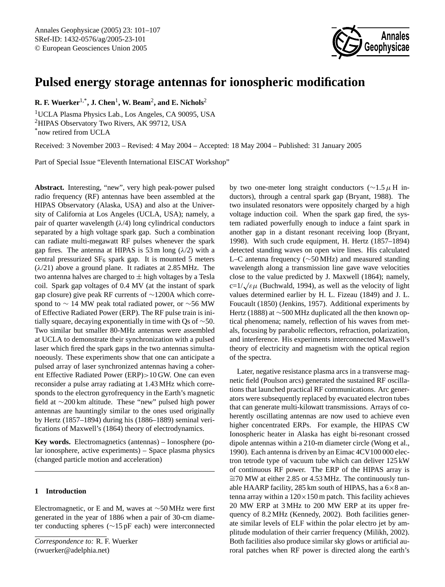

# **Pulsed energy storage antennas for ionospheric modification**

**R. F. Wuerker**1,\***, J. Chen**<sup>1</sup> **, W. Beam**<sup>2</sup> **, and E. Nichols**<sup>2</sup>

<sup>1</sup>UCLA Plasma Physics Lab., Los Angeles, CA 90095, USA <sup>2</sup>HIPAS Observatory Two Rivers, AK 99712, USA \*now retired from UCLA

Received: 3 November 2003 – Revised: 4 May 2004 – Accepted: 18 May 2004 – Published: 31 January 2005

Part of Special Issue "Eleventh International EISCAT Workshop"

**Abstract.** Interesting, "new", very high peak-power pulsed radio frequency (RF) antennas have been assembled at the HIPAS Observatory (Alaska, USA) and also at the University of California at Los Angeles (UCLA, USA); namely, a pair of quarter wavelength  $(\lambda/4)$  long cylindrical conductors separated by a high voltage spark gap. Such a combination can radiate multi-megawatt RF pulses whenever the spark gap fires. The antenna at HIPAS is 53 m long  $(\lambda/2)$  with a central pressurized  $SF_6$  spark gap. It is mounted 5 meters  $(\lambda/21)$  above a ground plane. It radiates at 2.85 MHz. The two antenna halves are charged to  $\pm$  high voltages by a Tesla coil. Spark gap voltages of 0.4 MV (at the instant of spark gap closure) give peak RF currents of ∼1200A which correspond to ∼ 14 MW peak total radiated power, or ∼56 MW of Effective Radiated Power (ERP). The RF pulse train is initially square, decaying exponentially in time with Qs of ∼50. Two similar but smaller 80-MHz antennas were assembled at UCLA to demonstrate their synchronization with a pulsed laser which fired the spark gaps in the two antennas simultanoeously. These experiments show that one can anticipate a pulsed array of laser synchronized antennas having a coherent Effective Radiated Power (ERP)>10 GW. One can even reconsider a pulse array radiating at 1.43 MHz which corresponds to the electron gyrofrequency in the Earth's magnetic field at ∼200 km altitude. These "new" pulsed high power antennas are hauntingly similar to the ones used originally by Hertz (1857–1894) during his (1886–1889) seminal verifications of Maxwell's (1864) theory of electrodynamics.

**Key words.** Electromagnetics (antennas) – Ionosphere (polar ionosphere, active experiments) – Space plasma physics (changed particle motion and acceleration)

## **1 Introduction**

Electromagnetic, or E and M, waves at ∼50 MHz were first generated in the year of 1886 when a pair of 30-cm diameter conducting spheres (∼15 pF each) were interconnected

<span id="page-0-0"></span>*Correspondence to:* R. F. Wuerker (rwuerker@adelphia.net)

by two one-meter long straight conductors ( $\sim$ 1.5µ H inductors), through a central spark gap (Bryant, 1988). The two insulated resonators were oppositely charged by a high voltage induction coil. When the spark gap fired, the system radiated powerfully enough to induce a faint spark in another gap in a distant resonant receiving loop (Bryant, 1998). With such crude equipment, H. Hertz (1857–1894) detected standing waves on open wire lines. His calculated L–C antenna frequency (∼50 MHz) and measured standing wavelength along a transmission line gave wave velocities close to the value predicted by J. Maxwell (1864); namely, c=1/ $\sqrt{\varepsilon\mu}$  (Buchwald, 1994), as well as the velocity of light values determined earlier by H. L. Fizeau (1849) and J. L. Foucault (1850) (Jenkins, 1957). Additional experiments by Hertz (1888) at ∼500 MHz duplicated all the then known optical phenomena; namely, reflection of his waves from metals, focusing by parabolic reflectors, refraction, polarization, and interference. His experiments interconnected Maxwell's theory of electricity and magnetism with the optical region of the spectra.

Later, negative resistance plasma arcs in a transverse magnetic field (Poulson arcs) generated the sustained RF oscillations that launched practical RF communications. Arc generators were subsequently replaced by evacuated electron tubes that can generate multi-kilowatt transmissions. Arrays of coherently oscillating antennas are now used to achieve even higher concentrated ERPs. For example, the HIPAS CW Ionospheric heater in Alaska has eight bi-resonant crossed dipole antennas within a 210-m diameter circle (Wong et al., 1990). Each antenna is driven by an Eimac 4CV100 000 electron tetrode type of vacuum tube which can deliver 125 kW of continuous RF power. The ERP of the HIPAS array is ∼=70 MW at either 2.85 or 4.53 MHz. The continuously tunable HAARP facility, 285 km south of HIPAS, has a  $6\times8$  antenna array within a  $120 \times 150$  m patch. This facility achieves 20 MW ERP at 3 MHz to 200 MW ERP at its upper frequency of 8.2 MHz (Kennedy, 2002). Both facilities generate similar levels of ELF within the polar electro jet by amplitude modulation of their carrier frequency (Milikh, 2002). Both facilities also produce similar sky glows or artificial auroral patches when RF power is directed along the earth's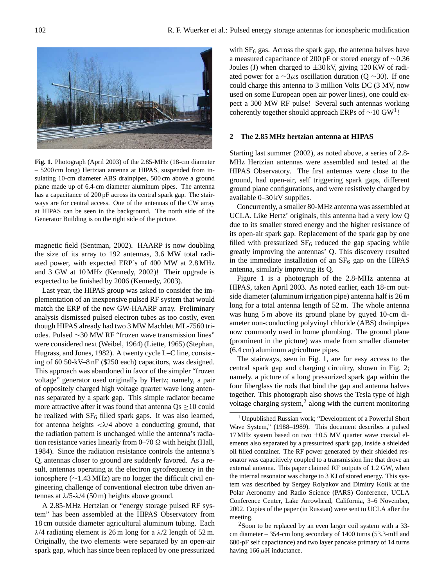

**Fig. 1.** Photograph (April 2003) of the 2.85-MHz (18-cm diameter – 5200 cm long) Hertzian antenna at HIPAS, suspended from insulating 10-cm diameter ABS drainpipes, 500 cm above a ground plane made up of 6.4-cm diameter aluminum pipes. The antenna has a capacitance of 200 pF across its central spark gap. The stairways are for central access. One of the antennas of the CW array at HIPAS can be seen in the background. The north side of the Generator Building is on the right side of the picture.

magnetic field (Sentman, 2002). HAARP is now doubling the size of its array to 192 antennas, 3.6 MW total radiated power, with expected ERP's of 400 MW at 2.8 MHz and 3 GW at 10 MHz (Kennedy, 2002)! Their upgrade is expected to be finished by 2006 (Kennedy, 2003).

Last year, the HIPAS group was asked to consider the implementation of an inexpensive pulsed RF system that would match the ERP of the new GW-HAARP array. Preliminary analysis dismissed pulsed electron tubes as too costly, even though HIPAS already had two 3 MW Machlett ML-7560 triodes. Pulsed ∼30 MW RF "frozen wave transmission lines" were considered next (Weibel, 1964) (Liette, 1965) (Stephan, Hugrass, and Jones, 1982). A twenty cycle L–C line, consisting of 60 50-kV–8 nF (\$250 each) capacitors, was designed. This approach was abandoned in favor of the simpler "frozen voltage" generator used originally by Hertz; namely, a pair of oppositely charged high voltage quarter wave long antennas separated by a spark gap. This simple radiator became more attractive after it was found that antenna  $Q_s \ge 10$  could be realized with  $SF_6$  filled spark gaps. It was also learned, for antenna heights  $\langle \lambda/4 \rangle$  above a conducting ground, that the radiation pattern is unchanged while the antenna's radiation resistance varies linearly from  $0-70 \Omega$  with height (Hall, 1984). Since the radiation resistance controls the antenna's Q, antennas closer to ground are suddenly favored. As a result, antennas operating at the electron gyrofrequency in the ionosphere (∼1.43 MHz) are no longer the difficult civil engineering challenge of conventional electron tube driven antennas at  $λ/5-λ/4$  (50 m) heights above ground.

A 2.85-MHz Hertzian or "energy storage pulsed RF system" has been assembled at the HIPAS Observatory from 18 cm outside diameter agricultural aluminum tubing. Each  $\lambda$ /4 radiating element is 26 m long for a  $\lambda$ /2 length of 52 m. Originally, the two elements were separated by an open-air spark gap, which has since been replaced by one pressurized

with  $SF<sub>6</sub>$  gas. Across the spark gap, the antenna halves have a measured capacitance of 200 pF or stored energy of ∼0.36 Joules (J) when charged to  $\pm 30 \text{kV}$ , giving 120 KW of radiated power for a  $\sim$ 3µs oscillation duration (Q  $\sim$ 30). If one could charge this antenna to 3 million Volts DC (3 MV, now used on some European open air power lines), one could expect a 300 MW RF pulse! Several such antennas working coherently together should approach ERPs of  $\sim$ [1](#page-1-0)0 GW<sup>1</sup>!

#### **2 The 2.85 MHz hertzian antenna at HIPAS**

Starting last summer (2002), as noted above, a series of 2.8- MHz Hertzian antennas were assembled and tested at the HIPAS Observatory. The first antennas were close to the ground, had open-air, self triggering spark gaps, different ground plane configurations, and were resistively charged by available 0–30 kV supplies.

Concurrently, a smaller 80-MHz antenna was assembled at UCLA. Like Hertz' originals, this antenna had a very low Q due to its smaller stored energy and the higher resistance of its open-air spark gap. Replacement of the spark gap by one filled with pressurized  $SF_6$  reduced the gap spacing while greatly improving the antennas' Q. This discovery resulted in the immediate installation of an  $SF<sub>6</sub>$  gap on the HIPAS antenna, similarly improving its Q.

Figure 1 is a photograph of the 2.8-MHz antenna at HIPAS, taken April 2003. As noted earlier, each 18-cm outside diameter (aluminum irrigation pipe) antenna half is 26 m long for a total antenna length of 52 m. The whole antenna was hung 5 m above its ground plane by guyed 10-cm diameter non-conducting polyvinyl chloride (ABS) drainpipes now commonly used in home plumbing. The ground plane (prominent in the picture) was made from smaller diameter (6.4 cm) aluminum agriculture pipes.

The stairways, seen in Fig. 1, are for easy access to the central spark gap and charging circuitry, shown in Fig. 2; namely, a picture of a long pressurized spark gap within the four fiberglass tie rods that bind the gap and antenna halves together. This photograph also shows the Tesla type of high voltage charging system, $<sup>2</sup>$  $<sup>2</sup>$  $<sup>2</sup>$  along with the current monitoring</sup>

<span id="page-1-1"></span> $2$ Soon to be replaced by an even larger coil system with a 33cm diameter – 354-cm long secondary of 1400 turns (53.3-mH and 600-pF self capacitance) and two layer pancake primary of 14 turns having 166  $\mu$ H inductance.

<span id="page-1-0"></span><sup>1</sup>Unpublished Russian work; "Development of a Powerful Short Wave System," (1988–1989). This document describes a pulsed 17 MHz system based on two  $\pm 0.5$  MV quarter wave coaxial elements also separated by a pressurized spark gap, inside a shielded oil filled container. The RF power generated by their shielded resonator was capacitively coupled to a transmission line that drove an external antenna. This paper claimed RF outputs of 1.2 GW, when the internal resonator was charge to 3 KJ of stored energy. This system was described by Sergey Rolyakov and Dimitry Kotik at the Polar Aeronomy and Radio Science (PARS) Conference, UCLA Conference Center, Lake Arrowhead, California, 3–6 November, 2002. Copies of the paper (in Russian) were sent to UCLA after the meeting.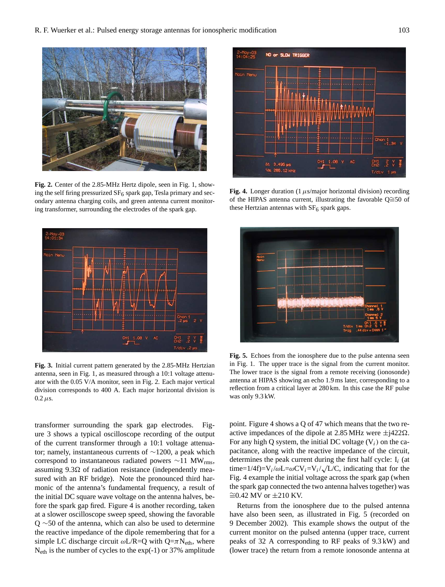

**Fig. 2.** Center of the 2.85-MHz Hertz dipole, seen in Fig. 1, showing the self firing pressurized  $SF_6$  spark gap, Tesla primary and secondary antenna charging coils, and green antenna current monitoring transformer, surrounding the electrodes of the spark gap.



**Fig. 3.** Initial current pattern generated by the 2.85-MHz Hertzian antenna, seen in Fig. 1, as measured through a 10:1 voltage attenuator with the 0.05 V/A monitor, seen in Fig. 2. Each major vertical division corresponds to 400 A. Each major horizontal division is  $0.2 \mu s$ .

transformer surrounding the spark gap electrodes. Figure 3 shows a typical oscilloscope recording of the output of the current transformer through a 10:1 voltage attenuator; namely, instantaneous currents of ∼1200, a peak which correspond to instantaneous radiated powers ∼11 MWrms, assuming  $9.3\Omega$  of radiation resistance (independently measured with an RF bridge). Note the pronounced third harmonic of the antenna's fundamental frequency, a result of the initial DC square wave voltage on the antenna halves, before the spark gap fired. Figure 4 is another recording, taken at a slower oscilloscope sweep speed, showing the favorable Q ∼50 of the antenna, which can also be used to determine the reactive impedance of the dipole remembering that for a simple LC discharge circuit  $\omega L/R = Q$  with  $Q = \pi N_{\text{eth}}$ , where Neth is the number of cycles to the exp(-1) or 37% amplitude



**Fig. 4.** Longer duration (1  $\mu$ s/major horizontal division) recording of the HIPAS antenna current, illustrating the favorable Q≅50 of these Hertzian antennas with  $SF<sub>6</sub>$  spark gaps.



**Fig. 5.** Echoes from the ionosphere due to the pulse antenna seen in Fig. 1. The upper trace is the signal from the current monitor. The lower trace is the signal from a remote receiving (ionosonde) antenna at HIPAS showing an echo 1.9 ms later, corresponding to a reflection from a critical layer at 280 km. In this case the RF pulse was only 9.3 kW.

point. Figure 4 shows a Q of 47 which means that the two reactive impedances of the dipole at 2.85 MHz were  $\pm$ j422 $\Omega$ . For any high Q system, the initial DC voltage  $(V_i)$  on the capacitance, along with the reactive impedance of the circuit, determines the peak current during the first half cycle:  $I_i$  (at time=1/4f)= $V_i/\omega L = \omega CV_i = V_i / \sqrt{L/C}$ , indicating that for the Fig. 4 example the initial voltage across the spark gap (when the spark gap connected the two antenna halves together) was  $≥0.42$  MV or  $±210$  KV.

Returns from the ionosphere due to the pulsed antenna have also been seen, as illustrated in Fig. 5 (recorded on 9 December 2002). This example shows the output of the current monitor on the pulsed antenna (upper trace, current peaks of 32 A corresponding to RF peaks of 9.3 kW) and (lower trace) the return from a remote ionosonde antenna at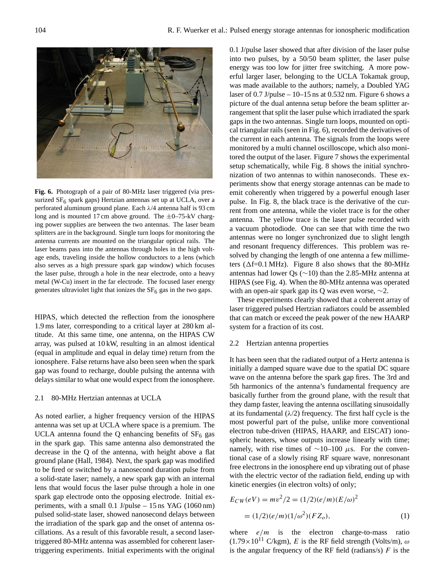

**Fig. 6.** Photograph of a pair of 80-MHz laser triggered (via pressurized  $SF<sub>6</sub>$  spark gaps) Hertzian antennas set up at UCLA, over a perforated aluminum ground plane. Each λ/4 antenna half is 93 cm long and is mounted 17 cm above ground. The  $\pm$ 0–75-kV charging power supplies are between the two antennas. The laser beam splitters are in the background. Single turn loops for monitoring the antenna currents are mounted on the triangular optical rails. The laser beams pass into the antennas through holes in the high voltage ends, traveling inside the hollow conductors to a lens (which also serves as a high pressure spark gap window) which focuses the laser pulse, through a hole in the near electrode, onto a heavy metal (W-Cu) insert in the far electrode. The focused laser energy generates ultraviolet light that ionizes the  $SF<sub>6</sub>$  gas in the two gaps.

HIPAS, which detected the reflection from the ionosphere 1.9 ms later, corresponding to a critical layer at 280 km altitude. At this same time, one antenna, on the HIPAS CW array, was pulsed at 10 kW, resulting in an almost identical (equal in amplitude and equal in delay time) return from the ionosphere. False returns have also been seen when the spark gap was found to recharge, double pulsing the antenna with delays similar to what one would expect from the ionosphere.

### 2.1 80-MHz Hertzian antennas at UCLA

As noted earlier, a higher frequency version of the HIPAS antenna was set up at UCLA where space is a premium. The UCLA antenna found the Q enhancing benefits of  $SF<sub>6</sub>$  gas in the spark gap. This same antenna also demonstrated the decrease in the Q of the antenna, with height above a flat ground plane (Hall, 1984). Next, the spark gap was modified to be fired or switched by a nanosecond duration pulse from a solid-state laser; namely, a new spark gap with an internal lens that would focus the laser pulse through a hole in one spark gap electrode onto the opposing electrode. Initial experiments, with a small 0.1 J/pulse – 15 ns YAG (1060 nm) pulsed solid-state laser, showed nanosecond delays between the irradiation of the spark gap and the onset of antenna oscillations. As a result of this favorable result, a second lasertriggered 80-MHz antenna was assembled for coherent lasertriggering experiments. Initial experiments with the original 0.1 J/pulse laser showed that after division of the laser pulse into two pulses, by a 50/50 beam splitter, the laser pulse energy was too low for jitter free switching. A more powerful larger laser, belonging to the UCLA Tokamak group, was made available to the authors; namely, a Doubled YAG laser of  $0.7$  J/pulse  $-10-15$  ns at  $0.532$  nm. Figure 6 shows a picture of the dual antenna setup before the beam splitter arrangement that split the laser pulse which irradiated the spark gaps in the two antennas. Single turn loops, mounted on optical triangular rails (seen in Fig. 6), recorded the derivatives of the current in each antenna. The signals from the loops were monitored by a multi channel oscilloscope, which also monitored the output of the laser. Figure 7 shows the experimental setup schematically, while Fig. 8 shows the initial synchronization of two antennas to within nanoseconds. These experiments show that energy storage antennas can be made to emit coherently when triggered by a powerful enough laser pulse. In Fig. 8, the black trace is the derivative of the current from one antenna, while the violet trace is for the other antenna. The yellow trace is the laser pulse recorded with a vacuum photodiode. One can see that with time the two antennas were no longer synchronized due to slight length and resonant frequency differences. This problem was resolved by changing the length of one antenna a few millimeters ( $\Delta f = 0.1$  MHz). Figure 8 also shows that the 80-MHz antennas had lower Qs (∼10) than the 2.85-MHz antenna at HIPAS (see Fig. 4). When the 80-MHz antenna was operated with an open-air spark gap its Q was even worse,  $\sim$ 2.

These experiments clearly showed that a coherent array of laser triggered pulsed Hertzian radiators could be assembled that can match or exceed the peak power of the new HAARP system for a fraction of its cost.

#### 2.2 Hertzian antenna properties

It has been seen that the radiated output of a Hertz antenna is initially a damped square wave due to the spatial DC square wave on the antenna before the spark gap fires. The 3rd and 5th harmonics of the antenna's fundamental frequency are basically further from the ground plane, with the result that they damp faster, leaving the antenna oscillating sinusoidally at its fundamental  $(\lambda/2)$  frequency. The first half cycle is the most powerful part of the pulse, unlike more conventional electron tube-driven (HIPAS, HAARP, and EISCAT) ionospheric heaters, whose outputs increase linearly with time; namely, with rise times of  $∼10-100$  μs. For the conventional case of a slowly rising RF square wave, nonresonant free electrons in the ionosphere end up vibrating out of phase with the electric vector of the radiation field, ending up with kinetic energies (in electron volts) of only;

$$
E_{CW}(eV) = mv^2/2 = (1/2)(e/m)(E/\omega)^2
$$
  
= (1/2)(e/m)(1/\omega^2)(FZ<sub>o</sub>), (1)

where  $e/m$  is the electron charge-to-mass ratio  $(1.79 \times 10^{11} \text{ C/kgm})$ , E is the RF field strength (Volts/m),  $\omega$ is the angular frequency of the RF field (radians/s)  $F$  is the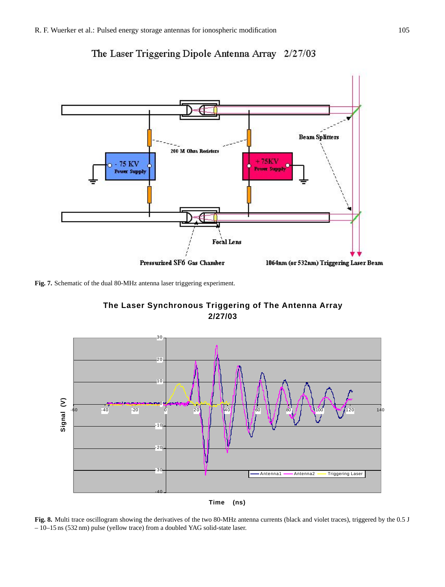



**Fig. 7.** Schematic of the dual 80-MHz antenna laser triggering experiment.



**The Laser Synchronous Triggering of The Antenna Array 2/27/03**

**Fig. 8.** Multi trace oscillogram showing the derivatives of the two 80-MHz antenna currents (black and violet traces), triggered by the 0.5 J – 10–15 ns (532 nm) pulse (yellow trace) from a doubled YAG solid-state laser.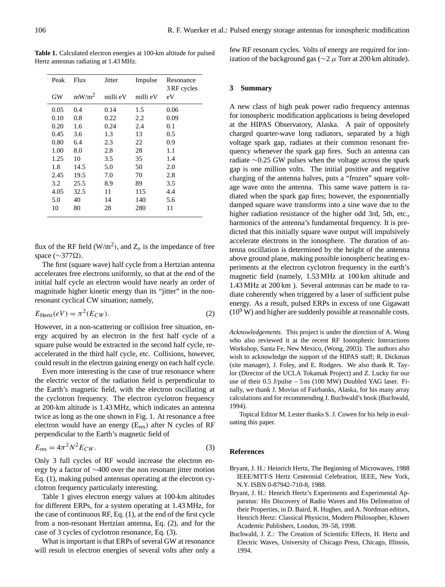**Table 1.** Calculated electron energies at 100-km altitude for pulsed Hertz antennas radiating at 1.43 MHz.

| Peak<br><b>GW</b> | Flux<br>mW/m <sup>2</sup> | Jitter<br>milli eV | Impulse<br>milli eV | Resonance<br>3 RF cycles<br>eV |
|-------------------|---------------------------|--------------------|---------------------|--------------------------------|
|                   |                           |                    |                     |                                |
| 0.10              | 0.8                       | 0.22               | 2.2                 | 0.09                           |
| 0.20              | 1.6                       | 0.24               | 2.4                 | 0.1                            |
| 0.45              | 3.6                       | 1.3                | 13                  | 0.5                            |
| 0.80              | 6.4                       | 2.3                | 22                  | 0.9                            |
| 1.00              | 8.0                       | 2.8                | 28                  | 1.1                            |
| 1.25              | 10                        | 3.5                | 35                  | 1.4                            |
| 1.8               | 14.5                      | 5.0                | 50                  | 2.0                            |
| 2.45              | 19.5                      | 7.0                | 70                  | 2.8                            |
| 3.2               | 25.5                      | 8.9                | 89                  | 3.5                            |
| 4.05              | 32.5                      | 11                 | 115                 | 4.4                            |
| 5.0               | 40                        | 14                 | 140                 | 5.6                            |
| 10                | 80                        | 28                 | 280                 | 11                             |

flux of the RF field (W/m<sup>2</sup>), and  $Z_o$  is the impedance of free space ( $\sim$ 377 $\Omega$ ).

The first (square wave) half cycle from a Hertzian antenna accelerates free electrons uniformly, so that at the end of the initial half cycle an electron would have nearly an order of magnitude higher kinetic energy than its "jitter" in the nonresonant cyclical CW situation; namely,

$$
E_{\text{Hertz}}(eV) = \pi^2(E_{CW}).\tag{2}
$$

However, in a non-scattering or collision free situation, energy acquired by an electron in the first half cycle of a square pulse would be extracted in the second half cycle, reaccelerated in the third half cycle, etc. Collisions, however, could result in the electron gaining energy on each half cycle.

Even more interesting is the case of true resonance where the electric vector of the radiation field is perpendicular to the Earth's magnetic field, with the electron oscillating at the cyclotron frequency. The electron cyclotron frequency at 200-km altitude is 1.43 MHz, which indicates an antenna twice as long as the one shown in Fig. 1. At resonance a free electron would have an energy (E<sub>res</sub>) after N cycles of RF perpendicular to the Earth's magnetic field of

$$
E_{\rm res} = 4\pi^2 N^2 E_{CW}.\tag{3}
$$

Only 3 full cycles of RF would increase the electron energy by a factor of ∼400 over the non resonant jitter motion Eq. (1), making pulsed antennas operating at the electron cyclotron frequency particularly interesting.

Table 1 gives electron energy values at 100-km altitudes for different ERPs, for a system operating at 1.43 MHz, for the case of continuous RF, Eq. (1), at the end of the first cycle from a non-resonant Hertzian antenna, Eq. (2), and for the case of 3 cycles of cyclotron resonance, Eq. (3).

What is important is that ERPs of several GW at resonance will result in electron energies of several volts after only a few RF resonant cycles. Volts of energy are required for ionization of the background gas ( $\sim$ 2  $\mu$  Torr at 200 km altitude).

## **3 Summary**

A new class of high peak power radio frequency antennas for ionospheric modification applications is being developed at the HIPAS Observatory, Alaska. A pair of oppositely charged quarter-wave long radiators, separated by a high voltage spark gap, radiates at their common resonant frequency whenever the spark gap fires. Such an antenna can radiate ∼0.25 GW pulses when the voltage across the spark gap is one million volts. The initial positive and negative charging of the antenna halves, puts a "frozen" square voltage wave onto the antenna. This same wave pattern is radiated when the spark gap fires; however, the exponentially damped square wave transforms into a sine wave due to the higher radiation resistance of the higher odd 3rd, 5th, etc., harmonics of the antenna's fundamental frequency. It is predicted that this initially square wave output will impulsively accelerate electrons in the ionosphere. The duration of antenna oscillation is determined by the height of the antenna above ground plane, making possible ionospheric heating experiments at the electron cyclotron frequency in the earth's magnetic field (namely, 1.53 MHz at 100 km altitude and 1.43 MHz at 200 km ). Several antennas can be made to radiate coherently when triggered by a laser of sufficient pulse energy. As a result, pulsed ERPs in excess of one Gigawatt  $(10^9 \text{ W})$  and higher are suddenly possible at reasonable costs.

*Acknowledgements.* This project is under the direction of A. Wong who also reviewed it at the recent RF Ionospheric Interactions Workshop, Santa Fe, New Mexico, (Wong, 2003). The authors also wish to acknowledge the support of the HIPAS staff; R. Dickman (site manager), J. Foley, and E. Rodgers. We also thank R. Taylor (Director of the UCLA Tokamak Project) and Z. Lucky for our use of their 0.5 J/pulse – 5 ns (100 MW) Doubled YAG laser. Finally, we thank J. Movius of Fairbanks, Alaska, for his many array calculations and for recommending J. Buchwald's book (Buchwald, 1994).

Topical Editor M. Lester thanks S. J. Cowen for his help in evaluating this paper.

#### **References**

- Bryant, J. H.: Heinrich Hertz, The Beginning of Microwaves, 1988 IEEE/MTT-S Hertz Centennial Celebration, IEEE, New York, N.Y. ISBN 0-87942-710-8, 1988.
- Bryant, J. H.: Henrich Hertz's Experiments and Experimental Apparatus: His Discovery of Radio Waves and His Delineation of their Properties, in D. Baird, R. Hughes, and A. Nordman editors, Henrich Hertz: Classical Physicist, Modern Philosopher, Kluwer Academic Publishers, London, 39–58, 1998.
- Buchwald, J. Z.: The Creation of Scientific Effects, H. Hertz and Electric Waves, University of Chicago Press, Chicago, Illinois, 1994.